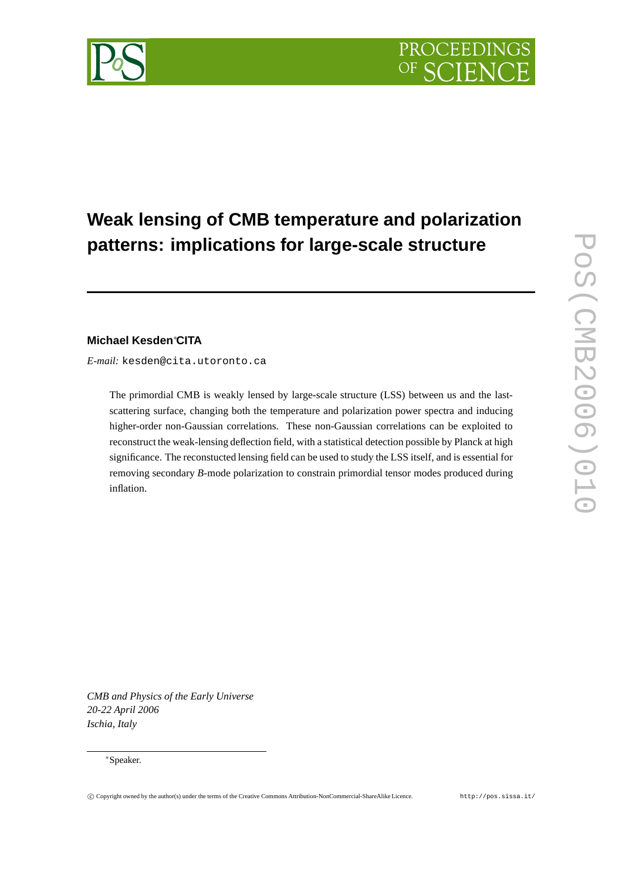

# **Weak lensing of CMB temperature and polarization patterns: implications for large-scale structure**

# **Michael Kesden**∗**CITA**

*E-mail:* kesden@cita.utoronto.ca

The primordial CMB is weakly lensed by large-scale structure (LSS) between us and the lastscattering surface, changing both the temperature and polarization power spectra and inducing higher-order non-Gaussian correlations. These non-Gaussian correlations can be exploited to reconstruct the weak-lensing deflection field, with a statistical detection possible by Planck at high significance. The reconstucted lensing field can be used to study the LSS itself, and is essential for removing secondary *B*-mode polarization to constrain primordial tensor modes produced during inflation.

**POS(CMB2006)010** PoS(CMB2006)010

*CMB and Physics of the Early Universe 20-22 April 2006 Ischia, Italy*

### ∗Speaker.

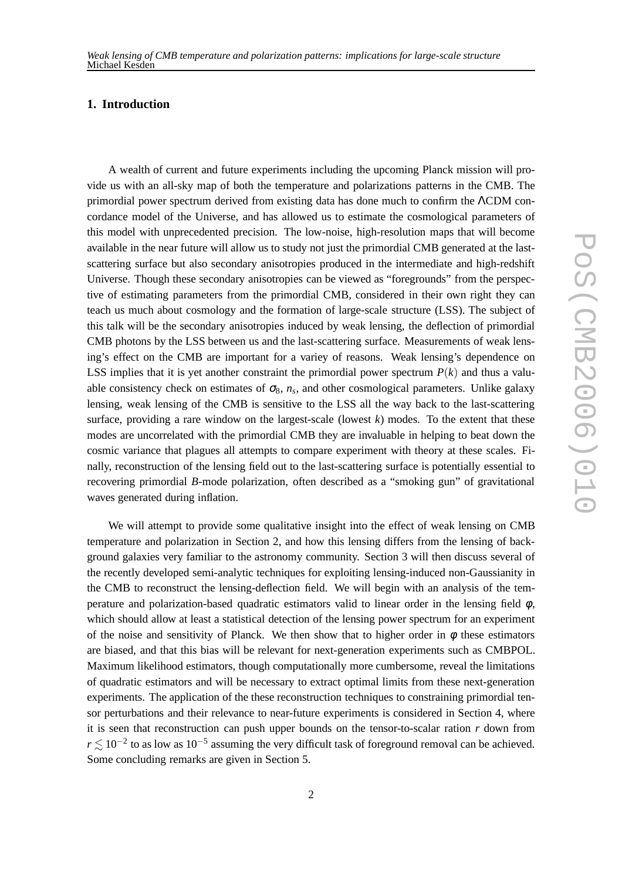# **1. Introduction**

A wealth of current and future experiments including the upcoming Planck mission will provide us with an all-sky map of both the temperature and polarizations patterns in the CMB. The primordial power spectrum derived from existing data has done much to confirm the ΛCDM concordance model of the Universe, and has allowed us to estimate the cosmological parameters of this model with unprecedented precision. The low-noise, high-resolution maps that will become available in the near future will allow us to study not just the primordial CMB generated at the lastscattering surface but also secondary anisotropies produced in the intermediate and high-redshift Universe. Though these secondary anisotropies can be viewed as "foregrounds" from the perspective of estimating parameters from the primordial CMB, considered in their own right they can teach us much about cosmology and the formation of large-scale structure (LSS). The subject of this talk will be the secondary anisotropies induced by weak lensing, the deflection of primordial CMB photons by the LSS between us and the last-scattering surface. Measurements of weak lensing's effect on the CMB are important for a variey of reasons. Weak lensing's dependence on LSS implies that it is yet another constraint the primordial power spectrum  $P(k)$  and thus a valuable consistency check on estimates of  $\sigma_8$ ,  $n_s$ , and other cosmological parameters. Unlike galaxy lensing, weak lensing of the CMB is sensitive to the LSS all the way back to the last-scattering surface, providing a rare window on the largest-scale (lowest *k*) modes. To the extent that these modes are uncorrelated with the primordial CMB they are invaluable in helping to beat down the cosmic variance that plagues all attempts to compare experiment with theory at these scales. Finally, reconstruction of the lensing field out to the last-scattering surface is potentially essential to recovering primordial *B*-mode polarization, often described as a "smoking gun" of gravitational waves generated during inflation.

We will attempt to provide some qualitative insight into the effect of weak lensing on CMB temperature and polarization in Section 2, and how this lensing differs from the lensing of background galaxies very familiar to the astronomy community. Section 3 will then discuss several of the recently developed semi-analytic techniques for exploiting lensing-induced non-Gaussianity in the CMB to reconstruct the lensing-deflection field. We will begin with an analysis of the temperature and polarization-based quadratic estimators valid to linear order in the lensing field  $\phi$ , which should allow at least a statistical detection of the lensing power spectrum for an experiment of the noise and sensitivity of Planck. We then show that to higher order in  $\phi$  these estimators are biased, and that this bias will be relevant for next-generation experiments such as CMBPOL. Maximum likelihood estimators, though computationally more cumbersome, reveal the limitations of quadratic estimators and will be necessary to extract optimal limits from these next-generation experiments. The application of the these reconstruction techniques to constraining primordial tensor perturbations and their relevance to near-future experiments is considered in Section 4, where it is seen that reconstruction can push upper bounds on the tensor-to-scalar ration *r* down from  $r \lesssim 10^{-2}$  to as low as 10<sup>-5</sup> assuming the very difficult task of foreground removal can be achieved. Some concluding remarks are given in Section 5.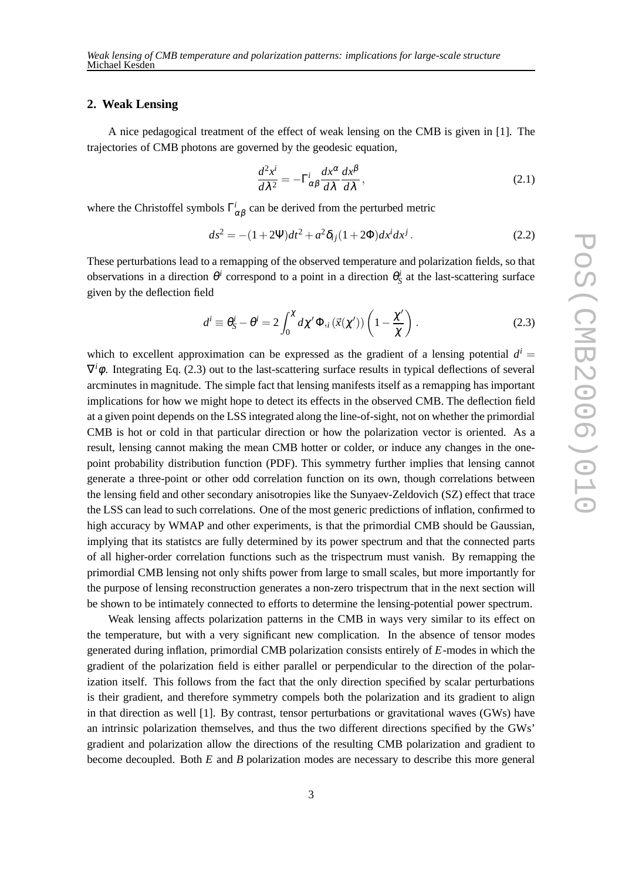## **2. Weak Lensing**

A nice pedagogical treatment of the effect of weak lensing on the CMB is given in [1]. The trajectories of CMB photons are governed by the geodesic equation,

$$
\frac{d^2x^i}{d\lambda^2} = -\Gamma^i_{\alpha\beta}\frac{dx^\alpha}{d\lambda}\frac{dx^\beta}{d\lambda},\qquad(2.1)
$$

where the Christoffel symbols  $\Gamma^i_{\alpha\beta}$  can be derived from the perturbed metric

$$
ds^{2} = -(1+2\Psi)dt^{2} + a^{2}\delta_{ij}(1+2\Phi)dx^{i}dx^{j}. \qquad (2.2)
$$

These perturbations lead to a remapping of the observed temperature and polarization fields, so that observations in a direction  $\theta^i$  correspond to a point in a direction  $\theta^i_s$  at the last-scattering surface given by the deflection field

$$
d^{i} \equiv \theta_{S}^{i} - \theta^{i} = 2 \int_{0}^{\chi} d\chi' \Phi_{,i}(\vec{x}(\chi')) \left(1 - \frac{\chi'}{\chi}\right).
$$
 (2.3)

which to excellent approximation can be expressed as the gradient of a lensing potential  $d^i =$  $\nabla^i \phi$ . Integrating Eq. (2.3) out to the last-scattering surface results in typical deflections of several arcminutes in magnitude. The simple fact that lensing manifests itself as a remapping has important implications for how we might hope to detect its effects in the observed CMB. The deflection field at a given point depends on the LSS integrated along the line-of-sight, not on whether the primordial CMB is hot or cold in that particular direction or how the polarization vector is oriented. As a result, lensing cannot making the mean CMB hotter or colder, or induce any changes in the onepoint probability distribution function (PDF). This symmetry further implies that lensing cannot generate a three-point or other odd correlation function on its own, though correlations between the lensing field and other secondary anisotropies like the Sunyaev-Zeldovich (SZ) effect that trace the LSS can lead to such correlations. One of the most generic predictions of inflation, confirmed to high accuracy by WMAP and other experiments, is that the primordial CMB should be Gaussian, implying that its statistcs are fully determined by its power spectrum and that the connected parts of all higher-order correlation functions such as the trispectrum must vanish. By remapping the primordial CMB lensing not only shifts power from large to small scales, but more importantly for the purpose of lensing reconstruction generates a non-zero trispectrum that in the next section will be shown to be intimately connected to efforts to determine the lensing-potential power spectrum.

Weak lensing affects polarization patterns in the CMB in ways very similar to its effect on the temperature, but with a very significant new complication. In the absence of tensor modes generated during inflation, primordial CMB polarization consists entirely of *E*-modes in which the gradient of the polarization field is either parallel or perpendicular to the direction of the polarization itself. This follows from the fact that the only direction specified by scalar perturbations is their gradient, and therefore symmetry compels both the polarization and its gradient to align in that direction as well [1]. By contrast, tensor perturbations or gravitational waves (GWs) have an intrinsic polarization themselves, and thus the two different directions specified by the GWs' gradient and polarization allow the directions of the resulting CMB polarization and gradient to become decoupled. Both *E* and *B* polarization modes are necessary to describe this more general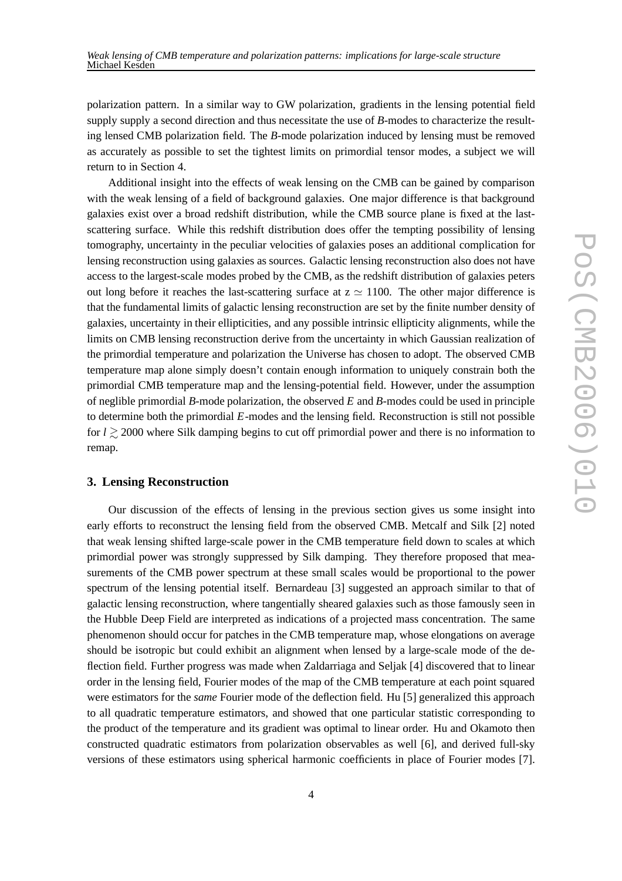polarization pattern. In a similar way to GW polarization, gradients in the lensing potential field supply supply a second direction and thus necessitate the use of *B*-modes to characterize the resulting lensed CMB polarization field. The *B*-mode polarization induced by lensing must be removed as accurately as possible to set the tightest limits on primordial tensor modes, a subject we will return to in Section 4.

Additional insight into the effects of weak lensing on the CMB can be gained by comparison with the weak lensing of a field of background galaxies. One major difference is that background galaxies exist over a broad redshift distribution, while the CMB source plane is fixed at the lastscattering surface. While this redshift distribution does offer the tempting possibility of lensing tomography, uncertainty in the peculiar velocities of galaxies poses an additional complication for lensing reconstruction using galaxies as sources. Galactic lensing reconstruction also does not have access to the largest-scale modes probed by the CMB, as the redshift distribution of galaxies peters out long before it reaches the last-scattering surface at  $z \approx 1100$ . The other major difference is that the fundamental limits of galactic lensing reconstruction are set by the finite number density of galaxies, uncertainty in their ellipticities, and any possible intrinsic ellipticity alignments, while the limits on CMB lensing reconstruction derive from the uncertainty in which Gaussian realization of the primordial temperature and polarization the Universe has chosen to adopt. The observed CMB temperature map alone simply doesn't contain enough information to uniquely constrain both the primordial CMB temperature map and the lensing-potential field. However, under the assumption of neglible primordial *B*-mode polarization, the observed *E* and *B*-modes could be used in principle to determine both the primordial *E*-modes and the lensing field. Reconstruction is still not possible for *l* & 2000 where Silk damping begins to cut off primordial power and there is no information to remap.

#### **3. Lensing Reconstruction**

Our discussion of the effects of lensing in the previous section gives us some insight into early efforts to reconstruct the lensing field from the observed CMB. Metcalf and Silk [2] noted that weak lensing shifted large-scale power in the CMB temperature field down to scales at which primordial power was strongly suppressed by Silk damping. They therefore proposed that measurements of the CMB power spectrum at these small scales would be proportional to the power spectrum of the lensing potential itself. Bernardeau [3] suggested an approach similar to that of galactic lensing reconstruction, where tangentially sheared galaxies such as those famously seen in the Hubble Deep Field are interpreted as indications of a projected mass concentration. The same phenomenon should occur for patches in the CMB temperature map, whose elongations on average should be isotropic but could exhibit an alignment when lensed by a large-scale mode of the deflection field. Further progress was made when Zaldarriaga and Seljak [4] discovered that to linear order in the lensing field, Fourier modes of the map of the CMB temperature at each point squared were estimators for the *same* Fourier mode of the deflection field. Hu [5] generalized this approach to all quadratic temperature estimators, and showed that one particular statistic corresponding to the product of the temperature and its gradient was optimal to linear order. Hu and Okamoto then constructed quadratic estimators from polarization observables as well [6], and derived full-sky versions of these estimators using spherical harmonic coefficients in place of Fourier modes [7].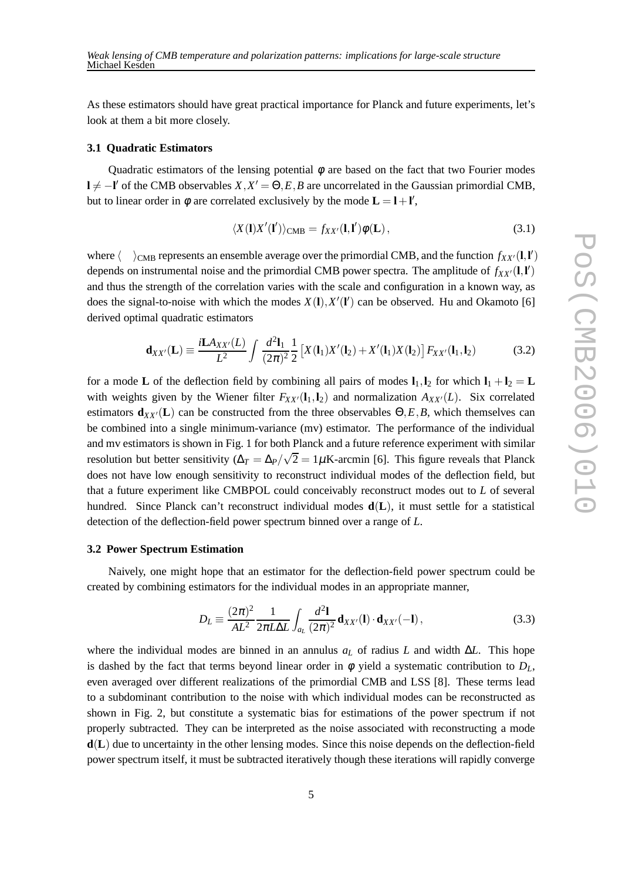As these estimators should have great practical importance for Planck and future experiments, let's look at them a bit more closely.

#### **3.1 Quadratic Estimators**

Quadratic estimators of the lensing potential  $\phi$  are based on the fact that two Fourier modes **l** ≠ −**l**<sup> $\prime$ </sup> of the CMB observables *X*,*X*<sup> $\prime$ </sup> =  $\Theta$ ,*E*,*B* are uncorrelated in the Gaussian primordial CMB, but to linear order in  $\phi$  are correlated exclusively by the mode  $\mathbf{L} = \mathbf{l} + \mathbf{l}'$ ,

$$
\langle X(\mathbf{l})X'(\mathbf{l}')\rangle_{\text{CMB}} = f_{XX'}(\mathbf{l},\mathbf{l}')\phi(\mathbf{L}),\tag{3.1}
$$

where  $\langle \rangle_{\text{CMB}}$  represents an ensemble average over the primordial CMB, and the function  $f_{XX'}(l, l')$ depends on instrumental noise and the primordial CMB power spectra. The amplitude of  $f_{XX'}(l, l')$ and thus the strength of the correlation varies with the scale and configuration in a known way, as does the signal-to-noise with which the modes  $X(1), X'(1')$  can be observed. Hu and Okamoto [6] derived optimal quadratic estimators

$$
\mathbf{d}_{XX'}(\mathbf{L}) \equiv \frac{i\mathbf{L}A_{XX'}(L)}{L^2} \int \frac{d^2\mathbf{l}_1}{(2\pi)^2} \frac{1}{2} \left[ X(\mathbf{l}_1) X'(\mathbf{l}_2) + X'(\mathbf{l}_1) X(\mathbf{l}_2) \right] F_{XX'}(\mathbf{l}_1, \mathbf{l}_2)
$$
(3.2)

for a mode **L** of the deflection field by combining all pairs of modes  $\mathbf{l}_1, \mathbf{l}_2$  for which  $\mathbf{l}_1 + \mathbf{l}_2 = \mathbf{L}$ with weights given by the Wiener filter  $F_{XX'}(l_1,l_2)$  and normalization  $A_{XX'}(L)$ . Six correlated estimators  $\mathbf{d}_{XX'}(\mathbf{L})$  can be constructed from the three observables  $\Theta$ , *E*, *B*, which themselves can be combined into a single minimum-variance (mv) estimator. The performance of the individual and mv estimators is shown in Fig. 1 for both Planck and a future reference experiment with similar resolution but better sensitivity ( $\Delta_T = \Delta_P/\sqrt{2} = 1 \mu$ K-arcmin [6]. This figure reveals that Planck does not have low enough sensitivity to reconstruct individual modes of the deflection field, but that a future experiment like CMBPOL could conceivably reconstruct modes out to *L* of several hundred. Since Planck can't reconstruct individual modes **d**(**L**), it must settle for a statistical detection of the deflection-field power spectrum binned over a range of *L*.

#### **3.2 Power Spectrum Estimation**

Naively, one might hope that an estimator for the deflection-field power spectrum could be created by combining estimators for the individual modes in an appropriate manner,

$$
D_L \equiv \frac{(2\pi)^2}{AL^2} \frac{1}{2\pi L \Delta L} \int_{a_L} \frac{d^2 \mathbf{l}}{(2\pi)^2} \mathbf{d}_{XX'}(\mathbf{l}) \cdot \mathbf{d}_{XX'}(-\mathbf{l}), \qquad (3.3)
$$

where the individual modes are binned in an annulus  $a<sub>L</sub>$  of radius *L* and width  $\Delta L$ . This hope is dashed by the fact that terms beyond linear order in  $\phi$  yield a systematic contribution to  $D_L$ , even averaged over different realizations of the primordial CMB and LSS [8]. These terms lead to a subdominant contribution to the noise with which individual modes can be reconstructed as shown in Fig. 2, but constitute a systematic bias for estimations of the power spectrum if not properly subtracted. They can be interpreted as the noise associated with reconstructing a mode **d**(**L**) due to uncertainty in the other lensing modes. Since this noise depends on the deflection-field power spectrum itself, it must be subtracted iteratively though these iterations will rapidly converge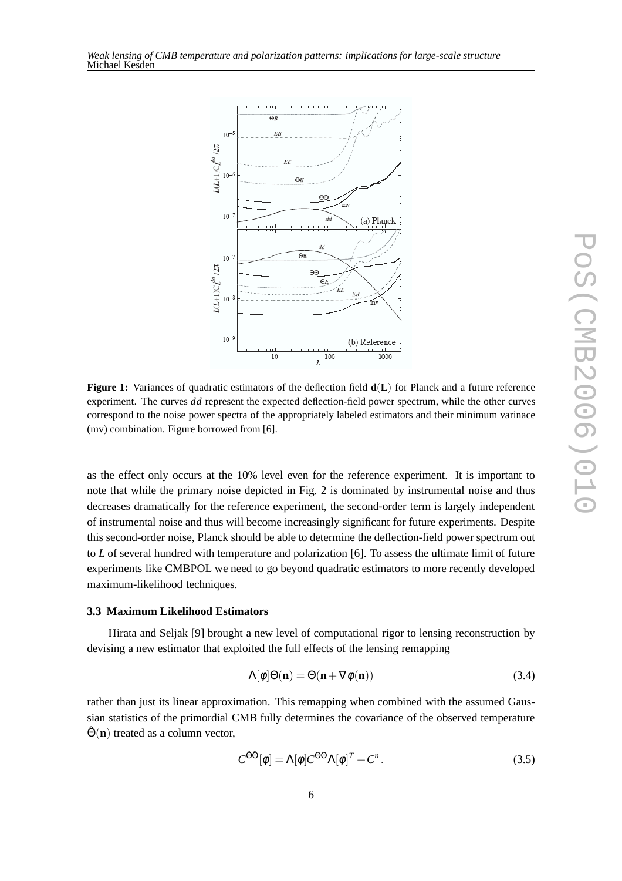



**Figure 1:** Variances of quadratic estimators of the deflection field **d**(**L**) for Planck and a future reference experiment. The curves *dd* represent the expected deflection-field power spectrum, while the other curves correspond to the noise power spectra of the appropriately labeled estimators and their minimum varinace (mv) combination. Figure borrowed from [6].

as the effect only occurs at the 10% level even for the reference experiment. It is important to note that while the primary noise depicted in Fig. 2 is dominated by instrumental noise and thus decreases dramatically for the reference experiment, the second-order term is largely independent of instrumental noise and thus will become increasingly significant for future experiments. Despite this second-order noise, Planck should be able to determine the deflection-field power spectrum out to *L* of several hundred with temperature and polarization [6]. To assess the ultimate limit of future experiments like CMBPOL we need to go beyond quadratic estimators to more recently developed maximum-likelihood techniques.

## **3.3 Maximum Likelihood Estimators**

Hirata and Seljak [9] brought a new level of computational rigor to lensing reconstruction by devising a new estimator that exploited the full effects of the lensing remapping

$$
\Lambda[\phi]\Theta(\mathbf{n}) = \Theta(\mathbf{n} + \nabla\phi(\mathbf{n}))\tag{3.4}
$$

rather than just its linear approximation. This remapping when combined with the assumed Gaussian statistics of the primordial CMB fully determines the covariance of the observed temperature  $\hat{\Theta}(\mathbf{n})$  treated as a column vector,

$$
C^{\hat{\Theta}\hat{\Theta}}[\phi] = \Lambda[\phi]C^{\Theta\Theta}\Lambda[\phi]^T + C^n.
$$
\n(3.5)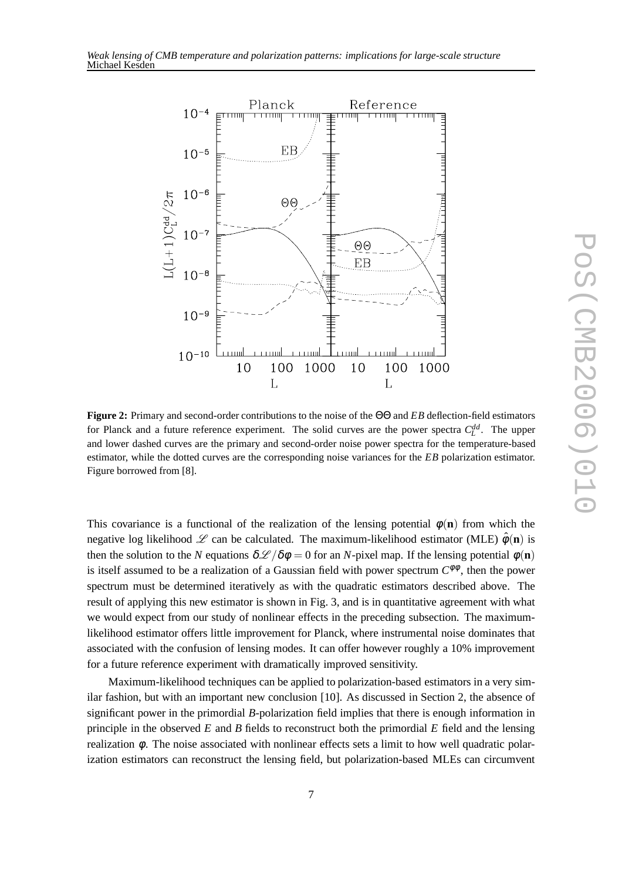



**Figure 2:** Primary and second-order contributions to the noise of the ΘΘ and *EB* deflection-field estimators for Planck and a future reference experiment. The solid curves are the power spectra  $C_L^{dd}$ . The upper and lower dashed curves are the primary and second-order noise power spectra for the temperature-based estimator, while the dotted curves are the corresponding noise variances for the *EB* polarization estimator. Figure borrowed from [8].

This covariance is a functional of the realization of the lensing potential  $\phi(\mathbf{n})$  from which the negative log likelihood  $\mathscr L$  can be calculated. The maximum-likelihood estimator (MLE)  $\hat \phi(\mathbf{n})$  is then the solution to the *N* equations  $\delta \mathscr{L}/\delta \phi = 0$  for an *N*-pixel map. If the lensing potential  $\phi(\mathbf{n})$ is itself assumed to be a realization of a Gaussian field with power spectrum  $C^{\phi\phi}$ , then the power spectrum must be determined iteratively as with the quadratic estimators described above. The result of applying this new estimator is shown in Fig. 3, and is in quantitative agreement with what we would expect from our study of nonlinear effects in the preceding subsection. The maximumlikelihood estimator offers little improvement for Planck, where instrumental noise dominates that associated with the confusion of lensing modes. It can offer however roughly a 10% improvement for a future reference experiment with dramatically improved sensitivity.

Maximum-likelihood techniques can be applied to polarization-based estimators in a very similar fashion, but with an important new conclusion [10]. As discussed in Section 2, the absence of significant power in the primordial *B*-polarization field implies that there is enough information in principle in the observed *E* and *B* fields to reconstruct both the primordial *E* field and the lensing realization  $\phi$ . The noise associated with nonlinear effects sets a limit to how well quadratic polarization estimators can reconstruct the lensing field, but polarization-based MLEs can circumvent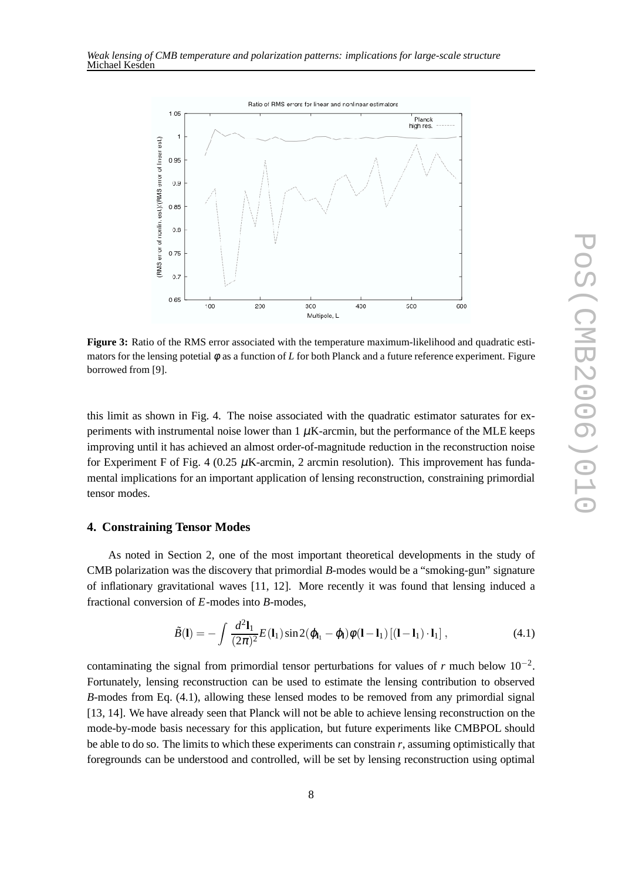

**Figure 3:** Ratio of the RMS error associated with the temperature maximum-likelihood and quadratic estimators for the lensing potetial φ as a function of *L* for both Planck and a future reference experiment. Figure borrowed from [9].

this limit as shown in Fig. 4. The noise associated with the quadratic estimator saturates for experiments with instrumental noise lower than  $1 \mu$ K-arcmin, but the performance of the MLE keeps improving until it has achieved an almost order-of-magnitude reduction in the reconstruction noise for Experiment F of Fig. 4 (0.25  $\mu$ K-arcmin, 2 arcmin resolution). This improvement has fundamental implications for an important application of lensing reconstruction, constraining primordial tensor modes.

#### **4. Constraining Tensor Modes**

As noted in Section 2, one of the most important theoretical developments in the study of CMB polarization was the discovery that primordial *B*-modes would be a "smoking-gun" signature of inflationary gravitational waves [11, 12]. More recently it was found that lensing induced a fractional conversion of *E*-modes into *B*-modes,

$$
\tilde{B}(\mathbf{l}) = -\int \frac{d^2 \mathbf{l}_1}{(2\pi)^2} E(\mathbf{l}_1) \sin 2(\varphi_{\mathbf{l}_1} - \varphi_{\mathbf{l}}) \phi(\mathbf{l} - \mathbf{l}_1) \left[ (\mathbf{l} - \mathbf{l}_1) \cdot \mathbf{l}_1 \right],
$$
\n(4.1)

contaminating the signal from primordial tensor perturbations for values of  $r$  much below  $10^{-2}$ . Fortunately, lensing reconstruction can be used to estimate the lensing contribution to observed *B*-modes from Eq. (4.1), allowing these lensed modes to be removed from any primordial signal [13, 14]. We have already seen that Planck will not be able to achieve lensing reconstruction on the mode-by-mode basis necessary for this application, but future experiments like CMBPOL should be able to do so. The limits to which these experiments can constrain *r*, assuming optimistically that foregrounds can be understood and controlled, will be set by lensing reconstruction using optimal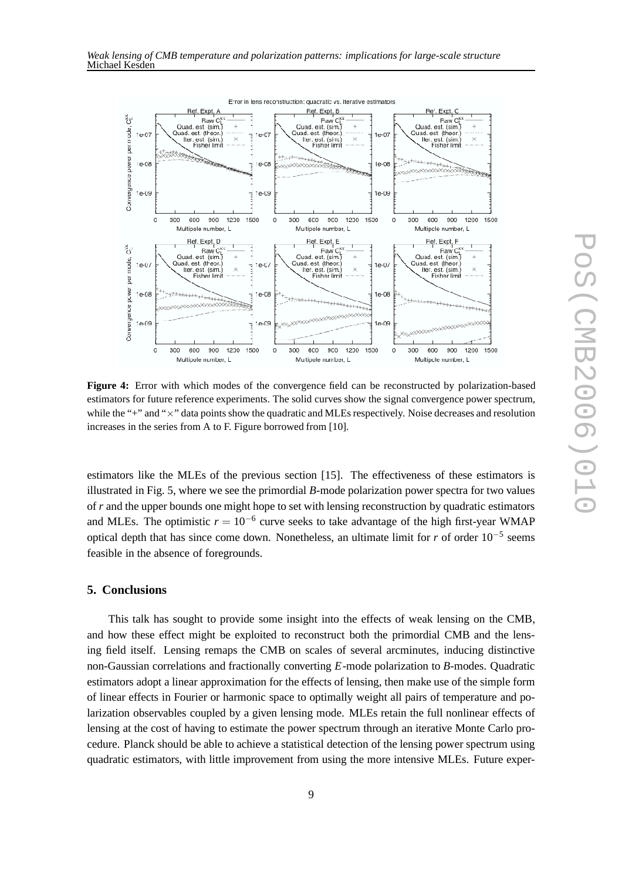

**Figure 4:** Error with which modes of the convergence field can be reconstructed by polarization-based estimators for future reference experiments. The solid curves show the signal convergence power spectrum, while the "+" and " $\times$ " data points show the quadratic and MLEs respectively. Noise decreases and resolution increases in the series from A to F. Figure borrowed from [10].

estimators like the MLEs of the previous section [15]. The effectiveness of these estimators is illustrated in Fig. 5, where we see the primordial *B*-mode polarization power spectra for two values of *r* and the upper bounds one might hope to set with lensing reconstruction by quadratic estimators and MLEs. The optimistic  $r = 10^{-6}$  curve seeks to take advantage of the high first-year WMAP optical depth that has since come down. Nonetheless, an ultimate limit for *r* of order 10−<sup>5</sup> seems feasible in the absence of foregrounds.

## **5. Conclusions**

This talk has sought to provide some insight into the effects of weak lensing on the CMB, and how these effect might be exploited to reconstruct both the primordial CMB and the lensing field itself. Lensing remaps the CMB on scales of several arcminutes, inducing distinctive non-Gaussian correlations and fractionally converting *E*-mode polarization to *B*-modes. Quadratic estimators adopt a linear approximation for the effects of lensing, then make use of the simple form of linear effects in Fourier or harmonic space to optimally weight all pairs of temperature and polarization observables coupled by a given lensing mode. MLEs retain the full nonlinear effects of lensing at the cost of having to estimate the power spectrum through an iterative Monte Carlo procedure. Planck should be able to achieve a statistical detection of the lensing power spectrum using quadratic estimators, with little improvement from using the more intensive MLEs. Future exper-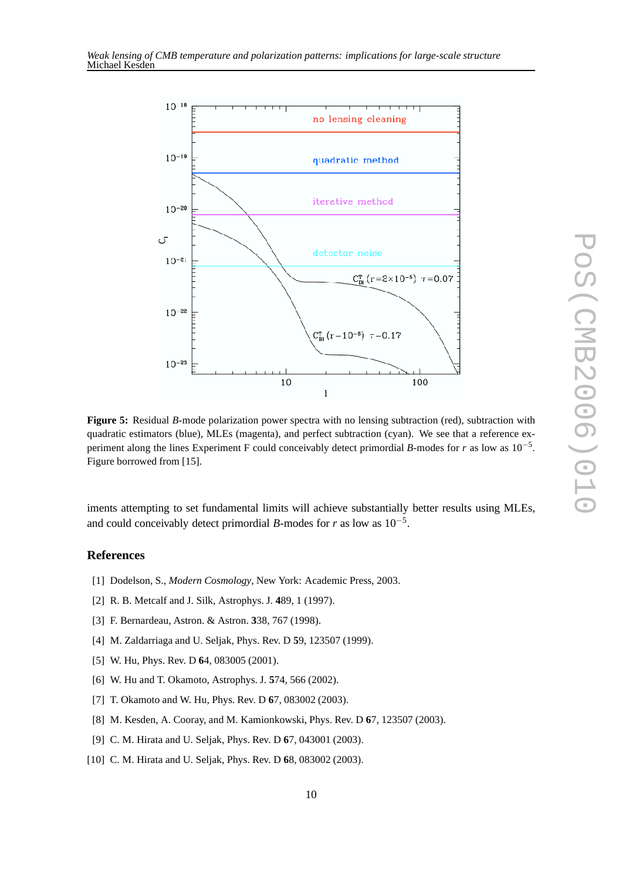

**Figure 5:** Residual *B*-mode polarization power spectra with no lensing subtraction (red), subtraction with quadratic estimators (blue), MLEs (magenta), and perfect subtraction (cyan). We see that a reference experiment along the lines Experiment F could conceivably detect primordial *B*-modes for *r* as low as 10−<sup>5</sup> . Figure borrowed from [15].

iments attempting to set fundamental limits will achieve substantially better results using MLEs, and could conceivably detect primordial *B*-modes for *r* as low as  $10^{-5}$ .

## **References**

- [1] Dodelson, S., *Modern Cosmology*, New York: Academic Press, 2003.
- [2] R. B. Metcalf and J. Silk, Astrophys. J. **4**89, 1 (1997).
- [3] F. Bernardeau, Astron. & Astron. **3**38, 767 (1998).
- [4] M. Zaldarriaga and U. Seljak, Phys. Rev. D **5**9, 123507 (1999).
- [5] W. Hu, Phys. Rev. D **6**4, 083005 (2001).
- [6] W. Hu and T. Okamoto, Astrophys. J. **5**74, 566 (2002).
- [7] T. Okamoto and W. Hu, Phys. Rev. D **6**7, 083002 (2003).
- [8] M. Kesden, A. Cooray, and M. Kamionkowski, Phys. Rev. D **6**7, 123507 (2003).
- [9] C. M. Hirata and U. Seljak, Phys. Rev. D **6**7, 043001 (2003).
- [10] C. M. Hirata and U. Seljak, Phys. Rev. D **6**8, 083002 (2003).